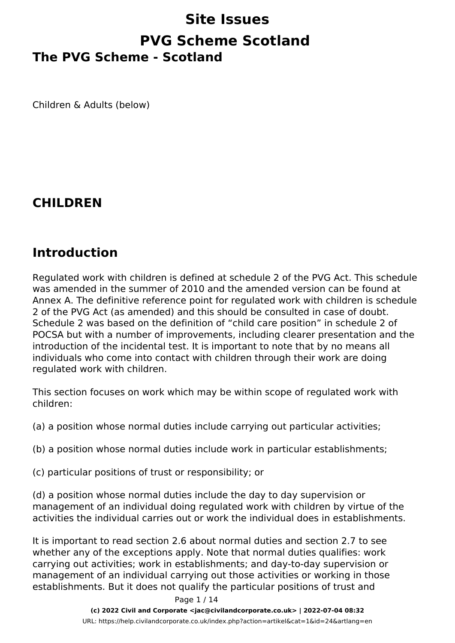# **Site Issues PVG Scheme Scotland The PVG Scheme - Scotland**

Children & Adults (below)

#### **CHILDREN**

#### **Introduction**

Regulated work with children is defined at schedule 2 of the PVG Act. This schedule was amended in the summer of 2010 and the amended version can be found at Annex A. The definitive reference point for regulated work with children is schedule 2 of the PVG Act (as amended) and this should be consulted in case of doubt. Schedule 2 was based on the definition of "child care position" in schedule 2 of POCSA but with a number of improvements, including clearer presentation and the introduction of the incidental test. It is important to note that by no means all individuals who come into contact with children through their work are doing regulated work with children.

This section focuses on work which may be within scope of regulated work with children:

(a) a position whose normal duties include carrying out particular activities;

(b) a position whose normal duties include work in particular establishments;

(c) particular positions of trust or responsibility; or

(d) a position whose normal duties include the day to day supervision or management of an individual doing regulated work with children by virtue of the activities the individual carries out or work the individual does in establishments.

It is important to read section 2.6 about normal duties and section 2.7 to see whether any of the exceptions apply. Note that normal duties qualifies: work carrying out activities; work in establishments; and day-to-day supervision or management of an individual carrying out those activities or working in those establishments. But it does not qualify the particular positions of trust and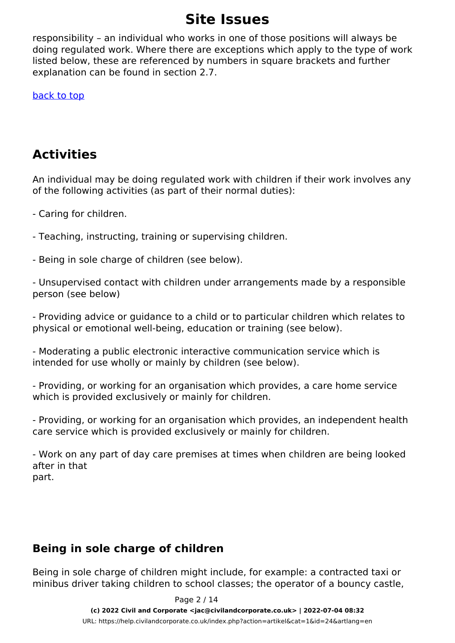responsibility – an individual who works in one of those positions will always be doing regulated work. Where there are exceptions which apply to the type of work listed below, these are referenced by numbers in square brackets and further explanation can be found in section 2.7.

[back to top](http://www.disclosurescotland.co.uk/guidance/infofororg/chap2_regulatedwork/2_4_step_3_regwork.html#top)

### **Activities**

An individual may be doing regulated work with children if their work involves any of the following activities (as part of their normal duties):

- Caring for children.

- Teaching, instructing, training or supervising children.

- Being in sole charge of children (see below).

- Unsupervised contact with children under arrangements made by a responsible person (see below)

- Providing advice or guidance to a child or to particular children which relates to physical or emotional well-being, education or training (see below).

- Moderating a public electronic interactive communication service which is intended for use wholly or mainly by children (see below).

- Providing, or working for an organisation which provides, a care home service which is provided exclusively or mainly for children.

- Providing, or working for an organisation which provides, an independent health care service which is provided exclusively or mainly for children.

- Work on any part of day care premises at times when children are being looked after in that part.

#### **Being in sole charge of children**

Being in sole charge of children might include, for example: a contracted taxi or minibus driver taking children to school classes; the operator of a bouncy castle,

> Page 2 / 14 **(c) 2022 Civil and Corporate <jac@civilandcorporate.co.uk> | 2022-07-04 08:32** [URL: https://help.civilandcorporate.co.uk/index.php?action=artikel&cat=1&id=24&artlang=en](https://help.civilandcorporate.co.uk/index.php?action=artikel&cat=1&id=24&artlang=en)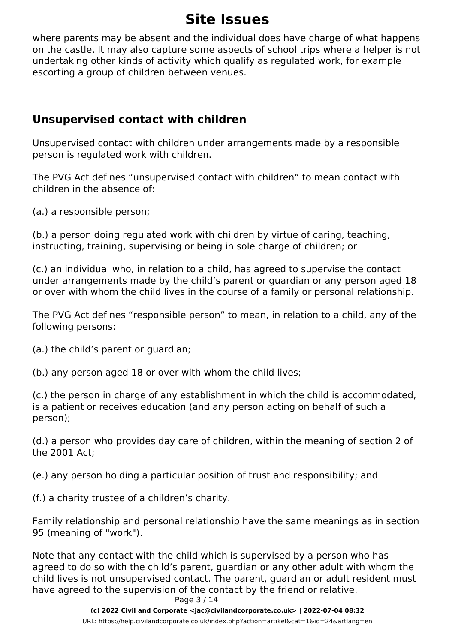where parents may be absent and the individual does have charge of what happens on the castle. It may also capture some aspects of school trips where a helper is not undertaking other kinds of activity which qualify as regulated work, for example escorting a group of children between venues.

#### **Unsupervised contact with children**

Unsupervised contact with children under arrangements made by a responsible person is regulated work with children.

The PVG Act defines "unsupervised contact with children" to mean contact with children in the absence of:

(a.) a responsible person;

(b.) a person doing regulated work with children by virtue of caring, teaching, instructing, training, supervising or being in sole charge of children; or

(c.) an individual who, in relation to a child, has agreed to supervise the contact under arrangements made by the child's parent or guardian or any person aged 18 or over with whom the child lives in the course of a family or personal relationship.

The PVG Act defines "responsible person" to mean, in relation to a child, any of the following persons:

(a.) the child's parent or guardian;

(b.) any person aged 18 or over with whom the child lives;

(c.) the person in charge of any establishment in which the child is accommodated, is a patient or receives education (and any person acting on behalf of such a person);

(d.) a person who provides day care of children, within the meaning of section 2 of the 2001 Act;

(e.) any person holding a particular position of trust and responsibility; and

(f.) a charity trustee of a children's charity.

Family relationship and personal relationship have the same meanings as in section 95 (meaning of "work").

Note that any contact with the child which is supervised by a person who has agreed to do so with the child's parent, guardian or any other adult with whom the child lives is not unsupervised contact. The parent, guardian or adult resident must have agreed to the supervision of the contact by the friend or relative. Page 3 / 14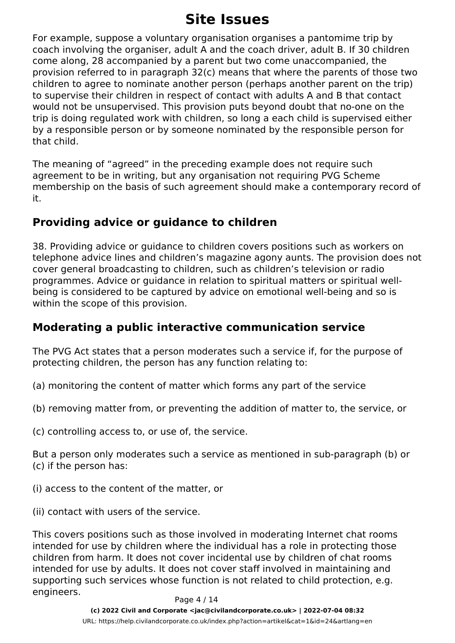For example, suppose a voluntary organisation organises a pantomime trip by coach involving the organiser, adult A and the coach driver, adult B. If 30 children come along, 28 accompanied by a parent but two come unaccompanied, the provision referred to in paragraph 32(c) means that where the parents of those two children to agree to nominate another person (perhaps another parent on the trip) to supervise their children in respect of contact with adults A and B that contact would not be unsupervised. This provision puts beyond doubt that no-one on the trip is doing regulated work with children, so long a each child is supervised either by a responsible person or by someone nominated by the responsible person for that child.

The meaning of "agreed" in the preceding example does not require such agreement to be in writing, but any organisation not requiring PVG Scheme membership on the basis of such agreement should make a contemporary record of it.

#### **Providing advice or guidance to children**

38. Providing advice or guidance to children covers positions such as workers on telephone advice lines and children's magazine agony aunts. The provision does not cover general broadcasting to children, such as children's television or radio programmes. Advice or guidance in relation to spiritual matters or spiritual wellbeing is considered to be captured by advice on emotional well-being and so is within the scope of this provision.

#### **Moderating a public interactive communication service**

The PVG Act states that a person moderates such a service if, for the purpose of protecting children, the person has any function relating to:

- (a) monitoring the content of matter which forms any part of the service
- (b) removing matter from, or preventing the addition of matter to, the service, or
- (c) controlling access to, or use of, the service.

But a person only moderates such a service as mentioned in sub-paragraph (b) or (c) if the person has:

- (i) access to the content of the matter, or
- (ii) contact with users of the service.

This covers positions such as those involved in moderating Internet chat rooms intended for use by children where the individual has a role in protecting those children from harm. It does not cover incidental use by children of chat rooms intended for use by adults. It does not cover staff involved in maintaining and supporting such services whose function is not related to child protection, e.g. engineers.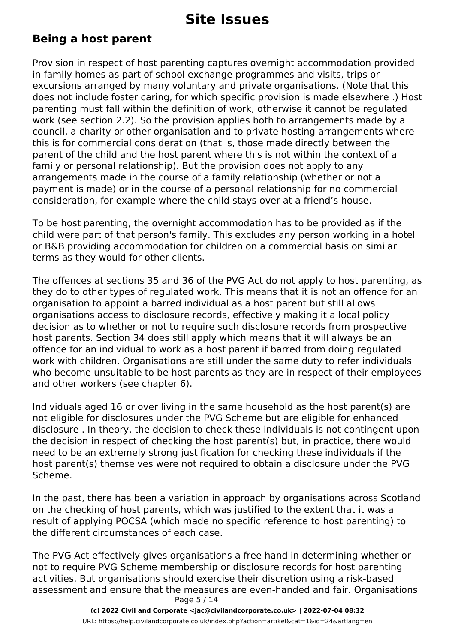#### **Being a host parent**

Provision in respect of host parenting captures overnight accommodation provided in family homes as part of school exchange programmes and visits, trips or excursions arranged by many voluntary and private organisations. (Note that this does not include foster caring, for which specific provision is made elsewhere .) Host parenting must fall within the definition of work, otherwise it cannot be regulated work (see section 2.2). So the provision applies both to arrangements made by a council, a charity or other organisation and to private hosting arrangements where this is for commercial consideration (that is, those made directly between the parent of the child and the host parent where this is not within the context of a family or personal relationship). But the provision does not apply to any arrangements made in the course of a family relationship (whether or not a payment is made) or in the course of a personal relationship for no commercial consideration, for example where the child stays over at a friend's house.

To be host parenting, the overnight accommodation has to be provided as if the child were part of that person's family. This excludes any person working in a hotel or B&B providing accommodation for children on a commercial basis on similar terms as they would for other clients.

The offences at sections 35 and 36 of the PVG Act do not apply to host parenting, as they do to other types of regulated work. This means that it is not an offence for an organisation to appoint a barred individual as a host parent but still allows organisations access to disclosure records, effectively making it a local policy decision as to whether or not to require such disclosure records from prospective host parents. Section 34 does still apply which means that it will always be an offence for an individual to work as a host parent if barred from doing regulated work with children. Organisations are still under the same duty to refer individuals who become unsuitable to be host parents as they are in respect of their employees and other workers (see chapter 6).

Individuals aged 16 or over living in the same household as the host parent(s) are not eligible for disclosures under the PVG Scheme but are eligible for enhanced disclosure . In theory, the decision to check these individuals is not contingent upon the decision in respect of checking the host parent(s) but, in practice, there would need to be an extremely strong justification for checking these individuals if the host parent(s) themselves were not required to obtain a disclosure under the PVG Scheme.

In the past, there has been a variation in approach by organisations across Scotland on the checking of host parents, which was justified to the extent that it was a result of applying POCSA (which made no specific reference to host parenting) to the different circumstances of each case.

The PVG Act effectively gives organisations a free hand in determining whether or not to require PVG Scheme membership or disclosure records for host parenting activities. But organisations should exercise their discretion using a risk-based assessment and ensure that the measures are even-handed and fair. Organisations Page 5 / 14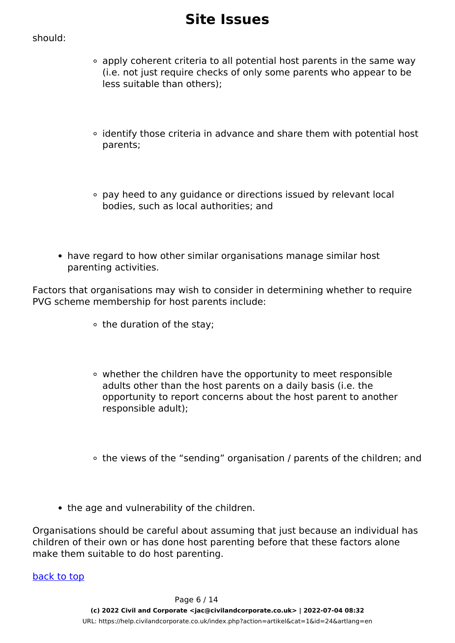#### should:

- apply coherent criteria to all potential host parents in the same way (i.e. not just require checks of only some parents who appear to be less suitable than others);
- identify those criteria in advance and share them with potential host parents;
- pay heed to any guidance or directions issued by relevant local bodies, such as local authorities; and
- have regard to how other similar organisations manage similar host parenting activities.

Factors that organisations may wish to consider in determining whether to require PVG scheme membership for host parents include:

- the duration of the stay;
- whether the children have the opportunity to meet responsible adults other than the host parents on a daily basis (i.e. the opportunity to report concerns about the host parent to another responsible adult);
- the views of the "sending" organisation / parents of the children; and
- the age and vulnerability of the children.

Organisations should be careful about assuming that just because an individual has children of their own or has done host parenting before that these factors alone make them suitable to do host parenting.

back to top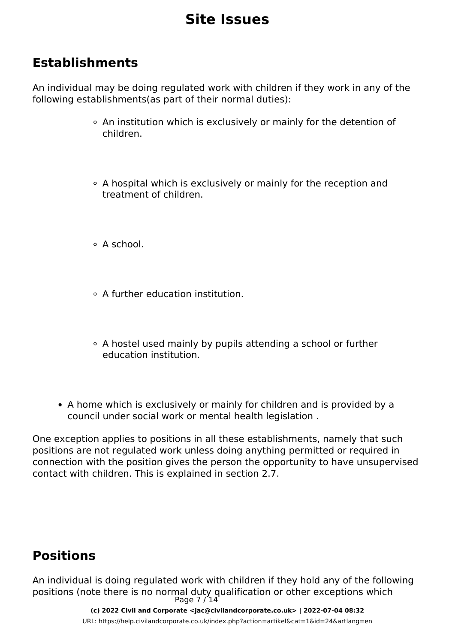### **Establishments**

An individual may be doing regulated work with children if they work in any of the following establishments(as part of their normal duties):

- An institution which is exclusively or mainly for the detention of children.
- A hospital which is exclusively or mainly for the reception and treatment of children.
- $\circ$  A school
- A further education institution.
- A hostel used mainly by pupils attending a school or further education institution.
- A home which is exclusively or mainly for children and is provided by a council under social work or mental health legislation .

One exception applies to positions in all these establishments, namely that such positions are not regulated work unless doing anything permitted or required in connection with the position gives the person the opportunity to have unsupervised contact with children. This is explained in section 2.7.

### **Positions**

An individual is doing regulated work with children if they hold any of the following positions (note there is no normal duty qualification or other exceptions which Page 7 / 14

> **(c) 2022 Civil and Corporate <jac@civilandcorporate.co.uk> | 2022-07-04 08:32** [URL: https://help.civilandcorporate.co.uk/index.php?action=artikel&cat=1&id=24&artlang=en](https://help.civilandcorporate.co.uk/index.php?action=artikel&cat=1&id=24&artlang=en)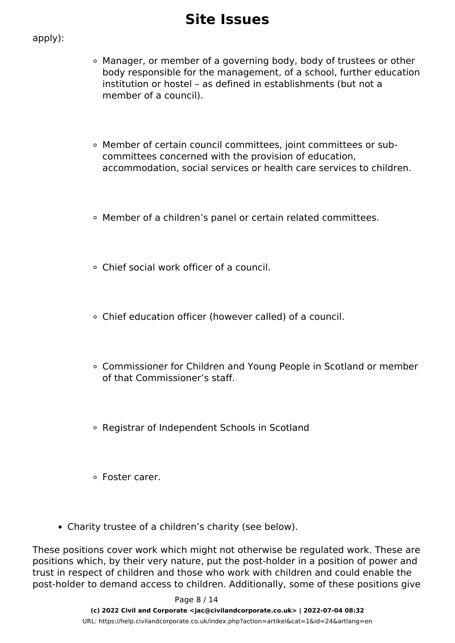#### apply):

- Manager, or member of a governing body, body of trustees or other body responsible for the management, of a school, further education institution or hostel – as defined in establishments (but not a member of a council).
- Member of certain council committees, joint committees or subcommittees concerned with the provision of education, accommodation, social services or health care services to children.
- Member of a children's panel or certain related committees.
- Chief social work officer of a council.
- Chief education officer (however called) of a council.
- Commissioner for Children and Young People in Scotland or member of that Commissioner's staff.
- Registrar of Independent Schools in Scotland
- Foster carer.
- Charity trustee of a children's charity (see below).

These positions cover work which might not otherwise be regulated work. These are positions which, by their very nature, put the post-holder in a position of power and trust in respect of children and those who work with children and could enable the post-holder to demand access to children. Additionally, some of these positions give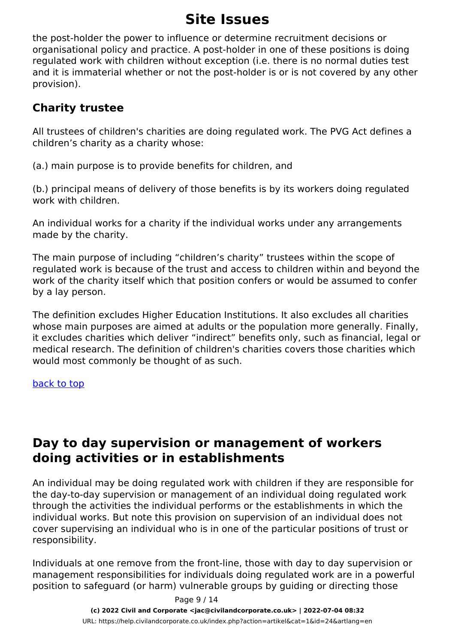the post-holder the power to influence or determine recruitment decisions or organisational policy and practice. A post-holder in one of these positions is doing regulated work with children without exception (i.e. there is no normal duties test and it is immaterial whether or not the post-holder is or is not covered by any other provision).

#### **Charity trustee**

All trustees of children's charities are doing regulated work. The PVG Act defines a children's charity as a charity whose:

(a.) main purpose is to provide benefits for children, and

(b.) principal means of delivery of those benefits is by its workers doing regulated work with children.

An individual works for a charity if the individual works under any arrangements made by the charity.

The main purpose of including "children's charity" trustees within the scope of regulated work is because of the trust and access to children within and beyond the work of the charity itself which that position confers or would be assumed to confer by a lay person.

The definition excludes Higher Education Institutions. It also excludes all charities whose main purposes are aimed at adults or the population more generally. Finally, it excludes charities which deliver "indirect" benefits only, such as financial, legal or medical research. The definition of children's charities covers those charities which would most commonly be thought of as such.

#### back to top

### **Day to day supervision or management of workers doing activities or in establishments**

An individual may be doing regulated work with children if they are responsible for the day-to-day supervision or management of an individual doing regulated work through the activities the individual performs or the establishments in which the individual works. But note this provision on supervision of an individual does not cover supervising an individual who is in one of the particular positions of trust or responsibility.

Individuals at one remove from the front-line, those with day to day supervision or management responsibilities for individuals doing regulated work are in a powerful position to safeguard (or harm) vulnerable groups by guiding or directing those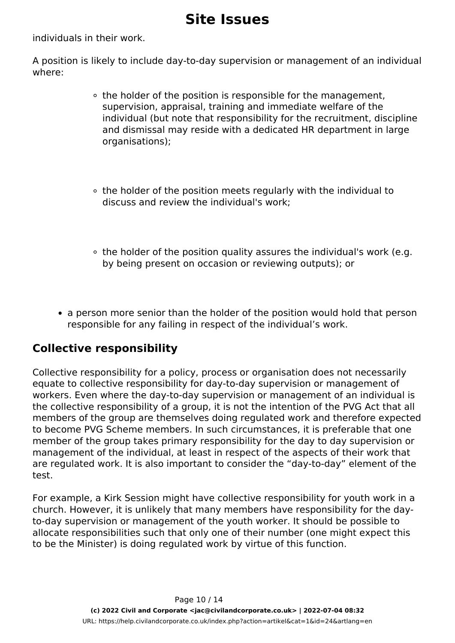individuals in their work.

A position is likely to include day-to-day supervision or management of an individual where:

- the holder of the position is responsible for the management, supervision, appraisal, training and immediate welfare of the individual (but note that responsibility for the recruitment, discipline and dismissal may reside with a dedicated HR department in large organisations);
- the holder of the position meets regularly with the individual to discuss and review the individual's work;
- $\circ$  the holder of the position quality assures the individual's work (e.g. by being present on occasion or reviewing outputs); or
- a person more senior than the holder of the position would hold that person responsible for any failing in respect of the individual's work.

#### **Collective responsibility**

Collective responsibility for a policy, process or organisation does not necessarily equate to collective responsibility for day-to-day supervision or management of workers. Even where the day-to-day supervision or management of an individual is the collective responsibility of a group, it is not the intention of the PVG Act that all members of the group are themselves doing regulated work and therefore expected to become PVG Scheme members. In such circumstances, it is preferable that one member of the group takes primary responsibility for the day to day supervision or management of the individual, at least in respect of the aspects of their work that are regulated work. It is also important to consider the "day-to-day" element of the test.

For example, a Kirk Session might have collective responsibility for youth work in a church. However, it is unlikely that many members have responsibility for the dayto-day supervision or management of the youth worker. It should be possible to allocate responsibilities such that only one of their number (one might expect this to be the Minister) is doing regulated work by virtue of this function.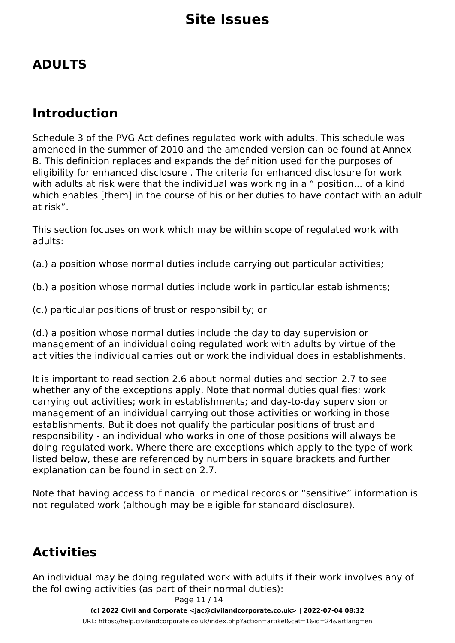### **ADULTS**

### **Introduction**

Schedule 3 of the PVG Act defines regulated work with adults. This schedule was amended in the summer of 2010 and the amended version can be found at Annex B. This definition replaces and expands the definition used for the purposes of eligibility for enhanced disclosure . The criteria for enhanced disclosure for work with adults at risk were that the individual was working in a " position... of a kind which enables [them] in the course of his or her duties to have contact with an adult at risk".

This section focuses on work which may be within scope of regulated work with adults:

(a.) a position whose normal duties include carrying out particular activities;

(b.) a position whose normal duties include work in particular establishments;

(c.) particular positions of trust or responsibility; or

(d.) a position whose normal duties include the day to day supervision or management of an individual doing regulated work with adults by virtue of the activities the individual carries out or work the individual does in establishments.

It is important to read section 2.6 about normal duties and section 2.7 to see whether any of the exceptions apply. Note that normal duties qualifies: work carrying out activities; work in establishments; and day-to-day supervision or management of an individual carrying out those activities or working in those establishments. But it does not qualify the particular positions of trust and responsibility - an individual who works in one of those positions will always be doing regulated work. Where there are exceptions which apply to the type of work listed below, these are referenced by numbers in square brackets and further explanation can be found in section 2.7.

Note that having access to financial or medical records or "sensitive" information is not regulated work (although may be eligible for standard disclosure).

### **Activities**

An individual may be doing regulated work with adults if their work involves any of the following activities (as part of their normal duties):

Page 11 / 14

**(c) 2022 Civil and Corporate <jac@civilandcorporate.co.uk> | 2022-07-04 08:32**

[URL: https://help.civilandcorporate.co.uk/index.php?action=artikel&cat=1&id=24&artlang=en](https://help.civilandcorporate.co.uk/index.php?action=artikel&cat=1&id=24&artlang=en)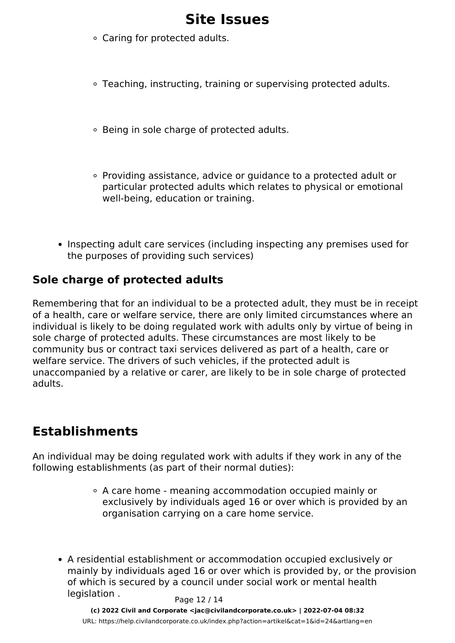- Caring for protected adults.
- Teaching, instructing, training or supervising protected adults.
- Being in sole charge of protected adults.
- Providing assistance, advice or guidance to a protected adult or particular protected adults which relates to physical or emotional well-being, education or training.
- Inspecting adult care services (including inspecting any premises used for the purposes of providing such services)

#### **Sole charge of protected adults**

Remembering that for an individual to be a protected adult, they must be in receipt of a health, care or welfare service, there are only limited circumstances where an individual is likely to be doing regulated work with adults only by virtue of being in sole charge of protected adults. These circumstances are most likely to be community bus or contract taxi services delivered as part of a health, care or welfare service. The drivers of such vehicles, if the protected adult is unaccompanied by a relative or carer, are likely to be in sole charge of protected adults.

### **Establishments**

An individual may be doing regulated work with adults if they work in any of the following establishments (as part of their normal duties):

- A care home meaning accommodation occupied mainly or exclusively by individuals aged 16 or over which is provided by an organisation carrying on a care home service.
- A residential establishment or accommodation occupied exclusively or mainly by individuals aged 16 or over which is provided by, or the provision of which is secured by a council under social work or mental health  $legislation.$  Page  $12/14$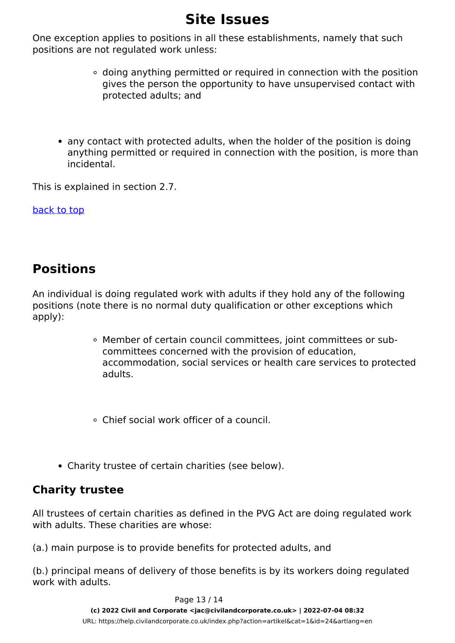One exception applies to positions in all these establishments, namely that such positions are not regulated work unless:

- doing anything permitted or required in connection with the position gives the person the opportunity to have unsupervised contact with protected adults; and
- any contact with protected adults, when the holder of the position is doing anything permitted or required in connection with the position, is more than incidental.

This is explained in section 2.7.

back to top

### **Positions**

An individual is doing regulated work with adults if they hold any of the following positions (note there is no normal duty qualification or other exceptions which apply):

> Member of certain council committees, joint committees or subcommittees concerned with the provision of education, accommodation, social services or health care services to protected adults.

Chief social work officer of a council.

Charity trustee of certain charities (see below).

#### **Charity trustee**

All trustees of certain charities as defined in the PVG Act are doing regulated work with adults. These charities are whose:

(a.) main purpose is to provide benefits for protected adults, and

(b.) principal means of delivery of those benefits is by its workers doing regulated work with adults.